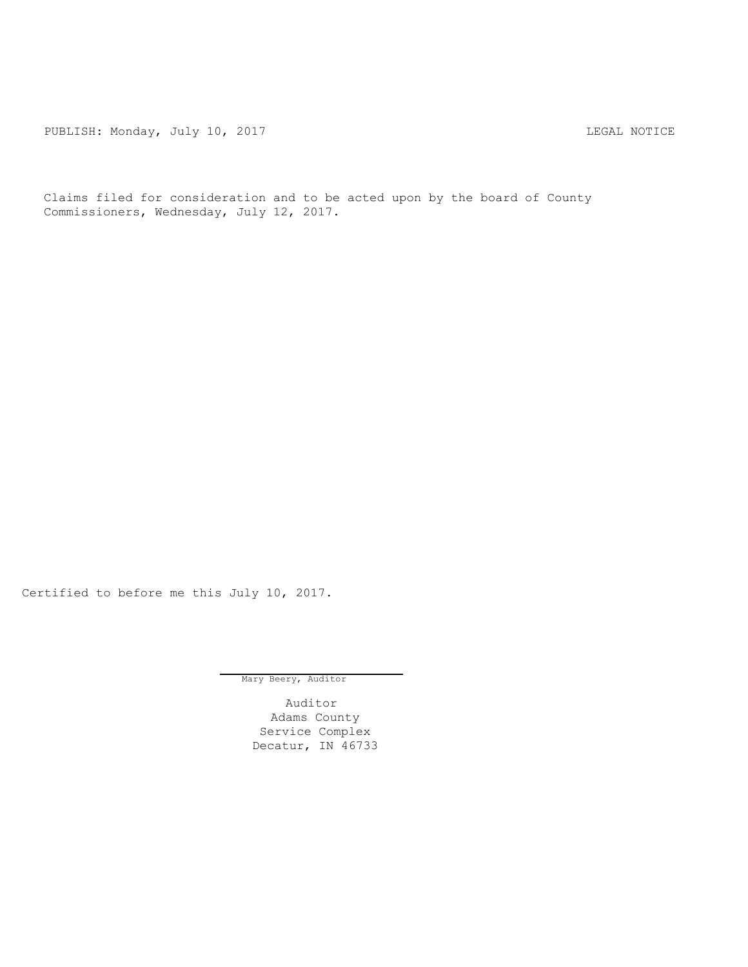PUBLISH: Monday, July 10, 2017 CHANGE CONSTRUCTED AND THE LEGAL NOTICE

Claims filed for consideration and to be acted upon by the board of County Commissioners, Wednesday, July 12, 2017.

Certified to before me this July 10, 2017.

Mary Beery, Auditor

Auditor Adams County Service Complex Decatur, IN 46733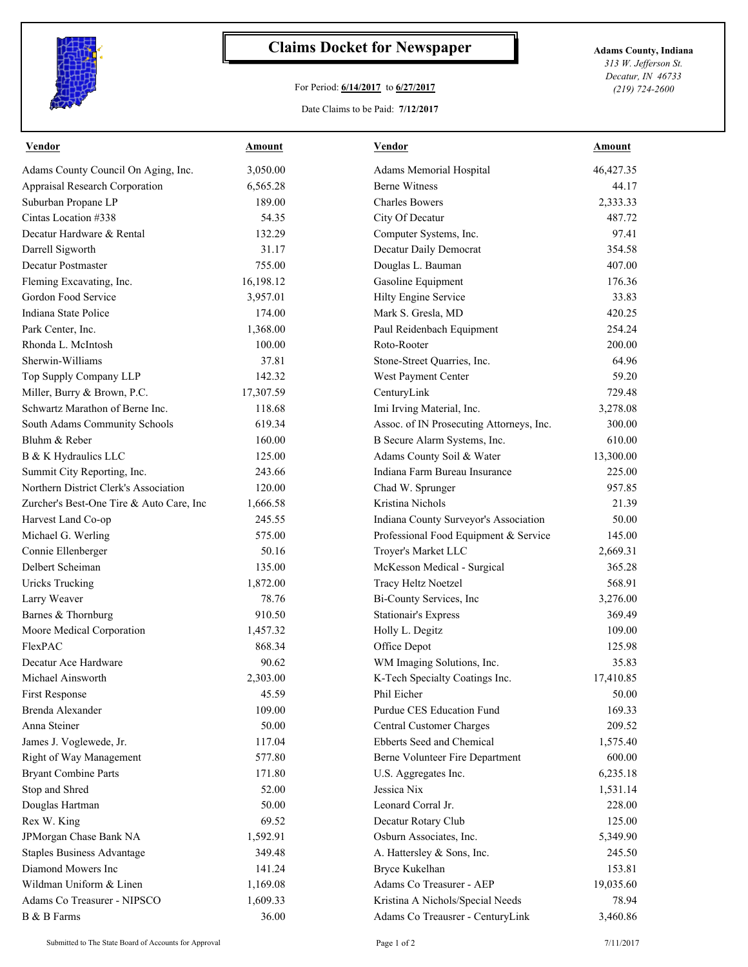

## **Claims Docket for Newspaper Adams County, Indiana**

## For Period: **6/14/2017** to **6/27/2017**

Date Claims to be Paid: **7/12/2017**

*313 W. Jefferson St. Decatur, IN 46733 (219) 724-2600*

| <b>Vendor</b>                            | <u>Amount</u> | <b>Vendor</b>                            | <b>Amount</b> |
|------------------------------------------|---------------|------------------------------------------|---------------|
| Adams County Council On Aging, Inc.      | 3,050.00      | Adams Memorial Hospital                  | 46,427.35     |
| <b>Appraisal Research Corporation</b>    | 6,565.28      | <b>Berne Witness</b>                     | 44.17         |
| Suburban Propane LP                      | 189.00        | <b>Charles Bowers</b>                    | 2,333.33      |
| Cintas Location #338                     | 54.35         | City Of Decatur                          | 487.72        |
| Decatur Hardware & Rental                | 132.29        | Computer Systems, Inc.                   | 97.41         |
| Darrell Sigworth                         | 31.17         | Decatur Daily Democrat                   | 354.58        |
| Decatur Postmaster                       | 755.00        | Douglas L. Bauman                        | 407.00        |
| Fleming Excavating, Inc.                 | 16,198.12     | Gasoline Equipment                       | 176.36        |
| Gordon Food Service                      | 3,957.01      | Hilty Engine Service                     | 33.83         |
| Indiana State Police                     | 174.00        | Mark S. Gresla, MD                       | 420.25        |
| Park Center, Inc.                        | 1,368.00      | Paul Reidenbach Equipment                | 254.24        |
| Rhonda L. McIntosh                       | 100.00        | Roto-Rooter                              | 200.00        |
| Sherwin-Williams                         | 37.81         | Stone-Street Quarries, Inc.              | 64.96         |
| Top Supply Company LLP                   | 142.32        | West Payment Center                      | 59.20         |
| Miller, Burry & Brown, P.C.              | 17,307.59     | CenturyLink                              | 729.48        |
| Schwartz Marathon of Berne Inc.          | 118.68        | Imi Irving Material, Inc.                | 3,278.08      |
| South Adams Community Schools            | 619.34        | Assoc. of IN Prosecuting Attorneys, Inc. | 300.00        |
| Bluhm & Reber                            | 160.00        | B Secure Alarm Systems, Inc.             | 610.00        |
| B & K Hydraulics LLC                     | 125.00        | Adams County Soil & Water                | 13,300.00     |
| Summit City Reporting, Inc.              | 243.66        | Indiana Farm Bureau Insurance            | 225.00        |
| Northern District Clerk's Association    | 120.00        | Chad W. Sprunger                         | 957.85        |
| Zurcher's Best-One Tire & Auto Care, Inc | 1,666.58      | Kristina Nichols                         | 21.39         |
| Harvest Land Co-op                       | 245.55        | Indiana County Surveyor's Association    | 50.00         |
| Michael G. Werling                       | 575.00        | Professional Food Equipment & Service    | 145.00        |
| Connie Ellenberger                       | 50.16         | Troyer's Market LLC                      | 2,669.31      |
| Delbert Scheiman                         | 135.00        |                                          | 365.28        |
|                                          | 1,872.00      | McKesson Medical - Surgical              | 568.91        |
| <b>Uricks Trucking</b>                   |               | Tracy Heltz Noetzel                      |               |
| Larry Weaver                             | 78.76         | Bi-County Services, Inc                  | 3,276.00      |
| Barnes & Thornburg                       | 910.50        | <b>Stationair's Express</b>              | 369.49        |
| Moore Medical Corporation                | 1,457.32      | Holly L. Degitz                          | 109.00        |
| FlexPAC                                  | 868.34        | Office Depot                             | 125.98        |
| Decatur Ace Hardware                     | 90.62         | WM Imaging Solutions, Inc.               | 35.83         |
| Michael Ainsworth                        | 2,303.00      | K-Tech Specialty Coatings Inc.           | 17,410.85     |
| <b>First Response</b>                    | 45.59         | Phil Eicher                              | 50.00         |
| Brenda Alexander                         | 109.00        | Purdue CES Education Fund                | 169.33        |
| Anna Steiner                             | 50.00         | Central Customer Charges                 | 209.52        |
| James J. Voglewede, Jr.                  | 117.04        | Ebberts Seed and Chemical                | 1,575.40      |
| Right of Way Management                  | 577.80        | Berne Volunteer Fire Department          | 600.00        |
| <b>Bryant Combine Parts</b>              | 171.80        | U.S. Aggregates Inc.                     | 6,235.18      |
| Stop and Shred                           | 52.00         | Jessica Nix                              | 1,531.14      |
| Douglas Hartman                          | 50.00         | Leonard Corral Jr.                       | 228.00        |
| Rex W. King                              | 69.52         | Decatur Rotary Club                      | 125.00        |
| JPMorgan Chase Bank NA                   | 1,592.91      | Osburn Associates, Inc.                  | 5,349.90      |
| <b>Staples Business Advantage</b>        | 349.48        | A. Hattersley & Sons, Inc.               | 245.50        |
| Diamond Mowers Inc                       | 141.24        | Bryce Kukelhan                           | 153.81        |
| Wildman Uniform & Linen                  | 1,169.08      | Adams Co Treasurer - AEP                 | 19,035.60     |
| Adams Co Treasurer - NIPSCO              | 1,609.33      | Kristina A Nichols/Special Needs         | 78.94         |
| B & B Farms                              | 36.00         | Adams Co Treausrer - CenturyLink         | 3,460.86      |